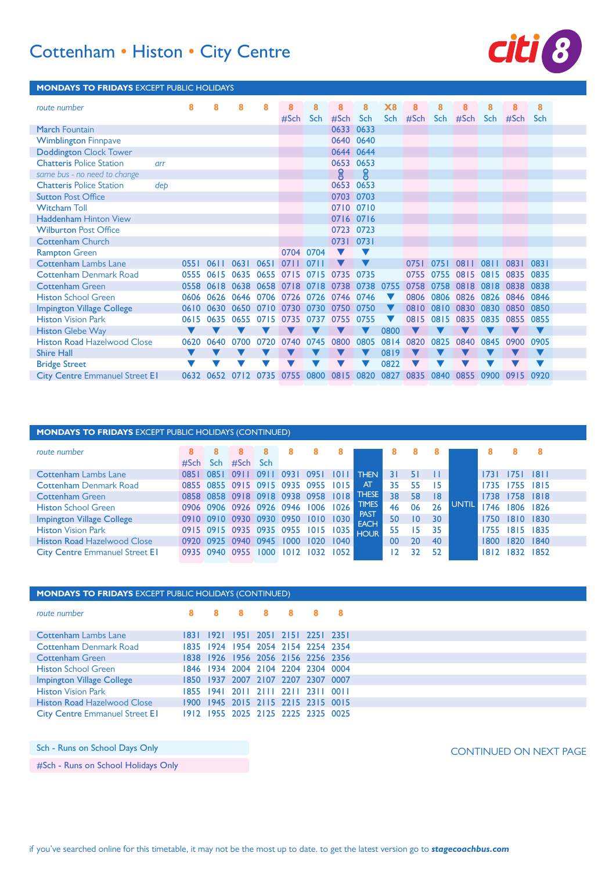# Cottenham • Histon • City Centre **8**



### **MONDAYS TO FRIDAYS** EXCEPT PUBLIC HOLIDAYS

| route number                          |     | 8    | 8              | 8    | 8                   | 8              | 8    | 8         | 8         | $\chi_{8}$           | 8        | 8    | 8    |      | 8         | 8          |
|---------------------------------------|-----|------|----------------|------|---------------------|----------------|------|-----------|-----------|----------------------|----------|------|------|------|-----------|------------|
|                                       |     |      |                |      |                     | #Sch           | Sch  | #Sch      | Sch       |                      | Sch #Sch | Sch  | #Sch | Sch  | #Sch      | <b>Sch</b> |
| <b>March Fountain</b>                 |     |      |                |      |                     |                |      | 0633      | 0633      |                      |          |      |      |      |           |            |
| <b>Wimblington Finnpave</b>           |     |      |                |      |                     |                |      |           | 0640 0640 |                      |          |      |      |      |           |            |
| <b>Doddington Clock Tower</b>         |     |      |                |      |                     |                |      |           | 0644 0644 |                      |          |      |      |      |           |            |
| <b>Chatteris Police Station</b>       | arr |      |                |      |                     |                |      | 0653 0653 |           |                      |          |      |      |      |           |            |
| same bus - no need to change          |     |      |                |      |                     |                |      | ႙ၟ        | ဨၟ        |                      |          |      |      |      |           |            |
| <b>Chatteris Police Station</b>       | dep |      |                |      |                     |                |      | 0653      | 0653      |                      |          |      |      |      |           |            |
| <b>Sutton Post Office</b>             |     |      |                |      |                     |                |      | 0703      | 0703      |                      |          |      |      |      |           |            |
| <b>Witcham Toll</b>                   |     |      |                |      |                     |                |      |           | 0710 0710 |                      |          |      |      |      |           |            |
| <b>Haddenham Hinton View</b>          |     |      |                |      |                     |                |      |           | 0716 0716 |                      |          |      |      |      |           |            |
| <b>Wilburton Post Office</b>          |     |      |                |      |                     |                |      |           | 0723 0723 |                      |          |      |      |      |           |            |
| <b>Cottenham Church</b>               |     |      |                |      |                     |                |      | 0731      | 0731      |                      |          |      |      |      |           |            |
| <b>Rampton Green</b>                  |     |      |                |      |                     | 0704 0704      |      |           |           |                      |          |      |      |      |           |            |
| <b>Cottenham Lambs Lane</b>           |     | 0551 | 0611           | 0631 | 0651                | 0711           | 0711 |           |           |                      | 0751     | 0751 | 0811 | 0811 | 0831      | 0831       |
| <b>Cottenham Denmark Road</b>         |     |      | 0555 0615      | 0635 |                     | 0655 0715 0715 |      | 0735      | 0735      |                      | 0755     | 0755 | 0815 | 0815 | 0835 0835 |            |
| <b>Cottenham Green</b>                |     |      | 0558 0618      | 0638 |                     | 0658 0718 0718 |      | 0738      | 0738      | 0755                 | 0758     | 0758 | 0818 | 0818 | 0838 0838 |            |
| <b>Histon School Green</b>            |     |      | 0606 0626 0646 |      |                     | 0706 0726 0726 |      | 0746 0746 |           | $\blacksquare$       | 0806     | 0806 | 0826 | 0826 | 0846 0846 |            |
| <b>Impington Village College</b>      |     |      | 0610 0630      |      | 0650 0710 0730 0730 |                |      | 0750      | 0750      | $\blacktriangledown$ | 0810     | 0810 | 0830 | 0830 | 0850 0850 |            |
| <b>Histon Vision Park</b>             |     | 0615 | 0635           | 0655 | 0715                | 0735           | 0737 | 0755      | 0755      |                      | 0815     | 0815 | 0835 | 0835 | 0855      | 0855       |
| <b>Histon Glebe Way</b>               |     | v    |                |      |                     |                |      |           |           | 0800                 |          |      |      |      |           | V          |
| <b>Histon Road Hazelwood Close</b>    |     | 0620 | 0640           | 0700 | 0720                | 0740           | 0745 | 0800      | 0805      | 0814                 | 0820     | 0825 | 0840 | 0845 | 0900      | 0905       |
| <b>Shire Hall</b>                     |     |      |                |      |                     |                |      |           |           | 0819                 |          |      |      |      |           |            |
| <b>Bridge Street</b>                  |     |      |                |      |                     |                |      |           |           | 0822                 |          |      |      |      |           |            |
| <b>City Centre Emmanuel Street EI</b> |     | 0632 | 0652           | 0712 | 0735                | 0755           | 0800 | 0815      | 0820      | 0827                 | 0835     | 0840 | 0855 | 0900 | 0915      | 0920       |

| <b>MONDAYS TO FRIDAYS</b> EXCEPT PUBLIC HOLIDAYS (CONTINUED) |      |           |           |                 |                               |      |        |                            |    |                 |    |              |      |                |      |
|--------------------------------------------------------------|------|-----------|-----------|-----------------|-------------------------------|------|--------|----------------------------|----|-----------------|----|--------------|------|----------------|------|
| route number                                                 | #Sch | я<br>Sch. | #Sch      | 8<br><b>Sch</b> | 8                             | x    |        |                            | я  |                 |    |              |      |                | 8    |
| <b>Cottenham Lambs Lane</b>                                  |      | 0851      | 091       | 091             | 0931                          | 0951 | 10 L L | <b>THEN</b>                |    | 51              |    |              | 1731 | 1751           | 8    |
| <b>Cottenham Denmark Road</b>                                |      |           |           |                 | 0855 0855 0915 0915 0935 0955 |      | 1015   | <b>AT</b>                  | 35 | 55              | 15 |              | 1735 | 1755           | 1815 |
| <b>Cottenham Green</b>                                       |      |           |           |                 | 0858 0858 0918 0918 0938 0958 |      | 1018   | <b>THESE</b>               | 38 | 58              | 18 |              |      | 1738 1758 1818 |      |
| <b>Histon School Green</b>                                   |      |           |           |                 | 0906 0906 0926 0926 0946      | 1006 | 1026   | <b>TIMES</b>               | 46 | 06              | 26 | <b>UNTIL</b> | 1746 | 1806           | 1826 |
| Impington Village College                                    |      |           |           |                 | 0910 0910 0930 0930 0950      | 1010 | 1030   | <b>PAST</b><br><b>EACH</b> | 50 | $\overline{10}$ | 30 |              | 1750 | 1810 1830      |      |
| <b>Histon Vision Park</b>                                    |      |           |           |                 | 0915 0915 0935 0935 0955      | 1015 | 1035   | <b>HOUR</b>                | 55 | 15.             | 35 |              | 1755 | 1815           | 1835 |
| <b>Histon Road Hazelwood Close</b>                           |      | 0920 0925 | 0940 0945 |                 | 1000                          |      | 1040   |                            | 00 | 20              | 40 |              | 1800 | 1820 1840      |      |
| <b>City Centre Emmanuel Street EI</b>                        |      | 0935 0940 | 0955      | 1000            | 1012                          | 1032 | 1052   |                            |    | 32              | 52 |              | 1812 | 1832           | 1852 |

| <b>MONDAYS TO FRIDAYS EXCEPT PUBLIC HOLIDAYS (CONTINUED)</b> |           |           |   |   |                                    |   |
|--------------------------------------------------------------|-----------|-----------|---|---|------------------------------------|---|
| route number                                                 | 8         | - 8       | 8 | 8 | - 8                                | 8 |
| <b>Cottenham Lambs Lane</b>                                  | 1831 1921 |           |   |   | 1951 2051 2151 2251 2351           |   |
| <b>Cottenham Denmark Road</b>                                |           |           |   |   | 1835 1924 1954 2054 2154 2254 2354 |   |
| <b>Cottenham Green</b>                                       |           |           |   |   | 1838 1926 1956 2056 2156 2256 2356 |   |
| <b>Histon School Green</b>                                   |           |           |   |   | 1846 1934 2004 2104 2204 2304 0004 |   |
| Impington Village College                                    |           |           |   |   | 1850 1937 2007 2107 2207 2307 0007 |   |
| <b>Histon Vision Park</b>                                    |           | 1855 1941 |   |   | 2011 2111 2211 2311 0011           |   |
| <b>Histon Road Hazelwood Close</b>                           |           |           |   |   | 1900 1945 2015 2115 2215 2315 0015 |   |
| <b>City Centre Emmanuel Street EI</b>                        |           |           |   |   | 1912 1955 2025 2125 2225 2325 0025 |   |

Sch - Runs on School Days Only

#Sch - Runs on School Holidays Only

CONTINUED ON NEXT PAGE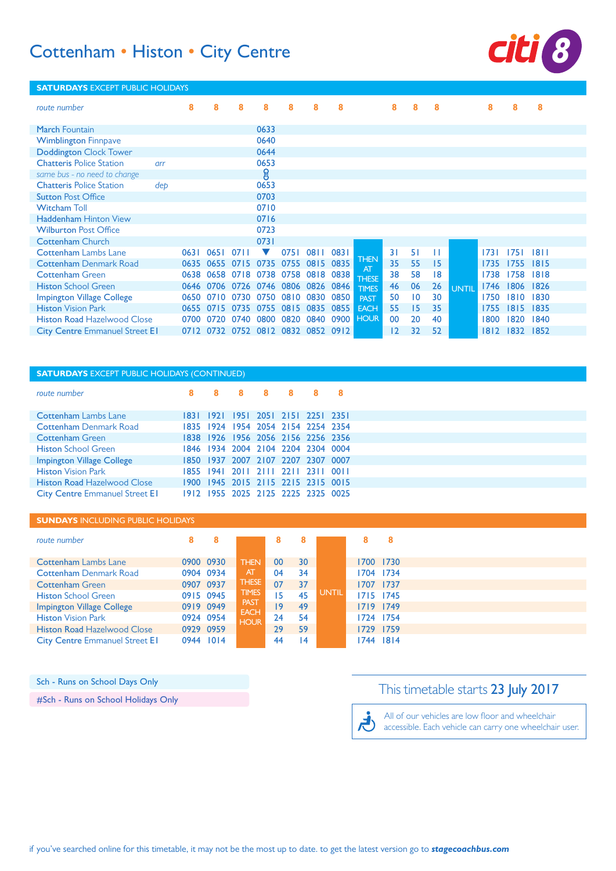## Cottenham • Histon • City Centre *8*



#### **SATURDAYS** EXCEPT PUBLIC HOLIDAYS *route number* **March Fountain** Wimblington Finnpave Doddington Clock Tower Chatteris Police Station *arr same bus - no need to change* Chatteris Police Station *dep* Sutton Post Office Witcham Toll Haddenham Hinton View Wilburton Post Office Cottenham Church Cottenham Lambs Lane Cottenham Denmark Road Cottenham Green **Histon School Green** Impington Village College Histon Vision Park Histon Road Hazelwood Close **City Centre Emmanuel Street EI**  0711 0651 0635 0655 0715 0735 0755 0815 0835 0638 0658 0718 0738 0758 0818 0646 0706 0726 0746 0806 0826 0650 0710 0730 0750 0810 0830 0850 0735 0815 0715 0755 0700 0720 0740 0800 0820 0752 0832 0852 0732 0812 0912 1811 1751 1815 1755 1818 1758 1806 1830 1810 1815 1852 1832 0653<br>8  $\blacktriangledown$  **THEN** THESE **TIMES PAST FACH HOUR** UNTIL

#### **SATURDAYS** EXCEPT PUBLIC HOLIDAYS (CONTINUED)

| route number                          | -R | 8. | -R | 8 |                                    | - 8 |
|---------------------------------------|----|----|----|---|------------------------------------|-----|
|                                       |    |    |    |   |                                    |     |
| <b>Cottenham Lambs Lane</b>           |    |    |    |   | 1831 1921 1951 2051 2151 2251 2351 |     |
| <b>Cottenham Denmark Road</b>         |    |    |    |   | 1835 1924 1954 2054 2154 2254 2354 |     |
| <b>Cottenham Green</b>                |    |    |    |   | 1838 1926 1956 2056 2156 2256 2356 |     |
| <b>Histon School Green</b>            |    |    |    |   | 1846 1934 2004 2104 2204 2304 0004 |     |
| Impington Village College             |    |    |    |   | 1850 1937 2007 2107 2207 2307 0007 |     |
| <b>Histon Vision Park</b>             |    |    |    |   | 1855 1941 2011 2111 2211 2311 0011 |     |
| <b>Histon Road Hazelwood Close</b>    |    |    |    |   | 1900 1945 2015 2115 2215 2315 0015 |     |
| <b>City Centre Emmanuel Street EI</b> |    |    |    |   | 1912 1955 2025 2125 2225 2325 0025 |     |

#### **SUNDAYS** INCLUDING PUBLIC HOLIDAYS

| route number                                                    | 8                      |                              |              | 8        |              | 8 | 8                      |
|-----------------------------------------------------------------|------------------------|------------------------------|--------------|----------|--------------|---|------------------------|
| <b>Cottenham Lambs Lane</b><br><b>Cottenham Denmark Road</b>    | 0900 0930<br>0904 0934 | <b>THEN</b><br>AT            | $00\,$<br>04 | 30<br>34 |              |   | 1700 1730<br>1704 1734 |
| <b>Cottenham Green</b>                                          | 0907 0937              | <b>THESE</b><br><b>TIMES</b> | 07           | 37       | <b>UNTIL</b> |   | 1707 1737              |
| <b>Histon School Green</b><br>Impington Village College         | 0915 0945<br>0919 0949 | <b>PAST</b><br><b>EACH</b>   | 15<br>۱9     | 45<br>49 |              |   | 1715 1745<br>1719 1749 |
| <b>Histon Vision Park</b><br><b>Histon Road Hazelwood Close</b> | 0924 0954<br>0929 0959 | <b>HOUR</b>                  | 24<br>29     | 54<br>59 |              |   | 1724 1754<br>1729 1759 |
| <b>City Centre Emmanuel Street EI</b>                           | 0944 1014              |                              | 44           | 14       |              |   | 1744 1814              |

Sch - Runs on School Days Only

#Sch - Runs on School Holidays Only

## This timetable starts 23 July 2017

All of our vehicles are low floor and wheelchair رائج accessible. Each vehicle can carry one wheelchair user.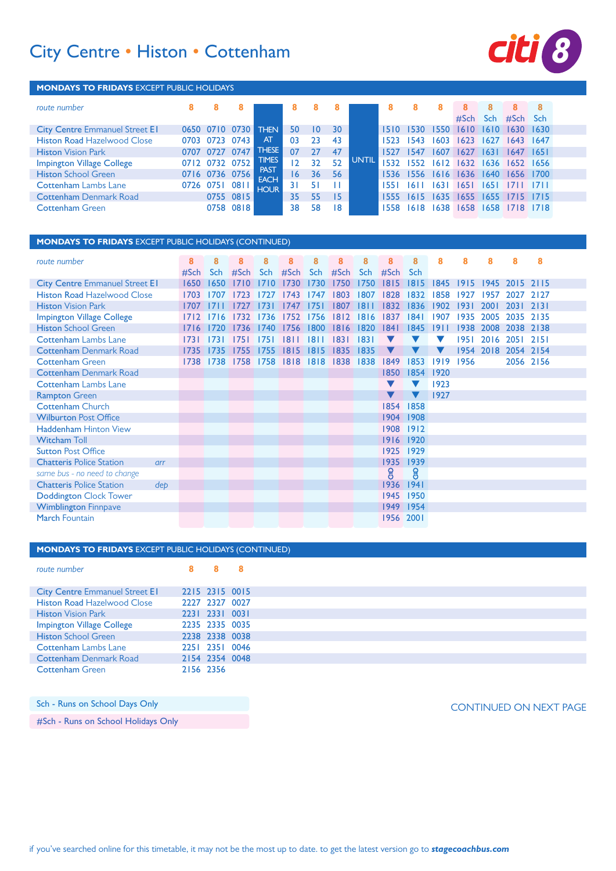# City Centre • Histon • Cottenham **CILI 8**



#### **MONDAYS TO FRIDAYS** EXCEPT PUBLIC HOLIDAYS

| route number                          | 8    | 8    |                |                            | 8  | x  |     |              | 8    |       |       |       |       |                | 8     |
|---------------------------------------|------|------|----------------|----------------------------|----|----|-----|--------------|------|-------|-------|-------|-------|----------------|-------|
|                                       |      |      |                |                            |    |    |     |              |      |       |       | #Sch  | Sch   | #Sch           | - Sch |
| <b>City Centre Emmanuel Street EI</b> |      |      | 0650 0710 0730 | <b>THEN</b>                | 50 | 10 | 30  |              | 1510 | 1530  | 1550  | 1610  | 1610  | $1630^{\circ}$ | 1630  |
| <b>Histon Road Hazelwood Close</b>    | 0703 | 0723 | 0743           | AT                         | 03 | 23 | 43  |              | 1523 | 543   | 603   | 1623  | 1627  | 1643.          | 1647  |
| <b>Histon Vision Park</b>             |      | 0727 | 0747           | <b>THESE</b>               | 07 |    | 47  |              |      | 1547  | 1607  | 1627  | 1631  | 1647           | 1651  |
| <b>Impington Village College</b>      |      |      | 0712 0732 0752 | <b>TIMES</b>               | 0  | 32 | 52  | <b>UNTIL</b> |      | 1552  | 1612  | 1632  |       | 1636 1652 1656 |       |
| <b>Histon School Green</b>            |      |      | 0716 0736 0756 | <b>PAST</b>                | 16 | 36 | -56 |              | 1536 | 1556  | 1616  | 1636  | 1640  | 1656           | 1700  |
| <b>Cottenham Lambs Lane</b>           | 0726 | 0751 | 081            | <b>EACH</b><br><b>HOUR</b> | 31 | 51 |     |              |      | 16 I  | 63    | 165 I | 165 I |                |       |
| <b>Cottenham Denmark Road</b>         |      |      | 0755 0815      |                            | 35 | 55 | 15  |              |      | 1615  | 1635  | 1655  | 1655  | 1715           | 1715  |
| <b>Cottenham Green</b>                |      |      | 0758 0818      |                            | 38 | 58 | 18  |              | 1558 | 1618. | 1638. | 1658  | 1658  | 1718           | 1718  |

### **MONDAYS TO FRIDAYS** EXCEPT PUBLIC HOLIDAYS (CONTINUED)

| route number                           | 8    | 8          | 8    | 8    | 8    | 8    | 8    | 8    | 8    | 8          | 8    | 8    | 8    | 8         | 8         |  |
|----------------------------------------|------|------------|------|------|------|------|------|------|------|------------|------|------|------|-----------|-----------|--|
|                                        | #Sch | <b>Sch</b> | #Sch | Sch  | #Sch | Sch  | #Sch | Sch  | #Sch | <b>Sch</b> |      |      |      |           |           |  |
| <b>City Centre Emmanuel Street EI</b>  | 1650 | 1650       | 1710 | 1710 | 1730 | 1730 | 1750 | 1750 | 1815 | 1815       | 1845 | 1915 | 1945 | 2015 2115 |           |  |
| <b>Histon Road Hazelwood Close</b>     | 1703 | 1707       |      |      | 1743 | 1747 | 1803 | 1807 | 1828 | 1832       | 1858 | 1927 | 1957 | 2027      | 2127      |  |
| <b>Histon Vision Park</b>              | 1707 |            | 777  | 73   | 1747 | 1751 | 1807 | 181  | 1832 | 1836       | 1902 | 1931 | 2001 | 2031      | 2131      |  |
| <b>Impington Village College</b>       | 1712 |            | 732  | 1736 | 1752 | 1756 | 1812 | 1816 | 1837 | 1841       | 1907 | 1935 | 2005 | 2035 2135 |           |  |
| <b>Histon School Green</b>             | 1716 | 1720       | 1736 | 740  | 1756 | 1800 | 1816 | 1820 | 1841 | 1845       | 9    | 1938 | 2008 | 2038      | 2138      |  |
| <b>Cottenham Lambs Lane</b>            | 1731 | 173        | 1751 | 75   | 8    | 811  | 1831 | 83   |      |            |      | 1951 | 2016 | 2051      | 2151      |  |
| <b>Cottenham Denmark Road</b>          | 1735 | 1735       | 1755 | 755  | 1815 | 1815 | 1835 | 1835 |      |            |      | 1954 | 2018 | 2054 2154 |           |  |
| <b>Cottenham Green</b>                 | 1738 | 1738       | 1758 | 1758 | 1818 | 8 8  | 1838 | 1838 | 1849 | 1853       | 1919 | 1956 |      |           | 2056 2156 |  |
| <b>Cottenham Denmark Road</b>          |      |            |      |      |      |      |      |      | 1850 | 1854       | 1920 |      |      |           |           |  |
| <b>Cottenham Lambs Lane</b>            |      |            |      |      |      |      |      |      |      |            | 1923 |      |      |           |           |  |
| <b>Rampton Green</b>                   |      |            |      |      |      |      |      |      |      |            | 1927 |      |      |           |           |  |
| <b>Cottenham Church</b>                |      |            |      |      |      |      |      |      | 1854 | 1858       |      |      |      |           |           |  |
| <b>Wilburton Post Office</b>           |      |            |      |      |      |      |      |      | 1904 | 1908       |      |      |      |           |           |  |
| Haddenham Hinton View                  |      |            |      |      |      |      |      |      | 1908 | 1912       |      |      |      |           |           |  |
| <b>Witcham Toll</b>                    |      |            |      |      |      |      |      |      | 1916 | 1920       |      |      |      |           |           |  |
| <b>Sutton Post Office</b>              |      |            |      |      |      |      |      |      | 1925 | 1929       |      |      |      |           |           |  |
| <b>Chatteris Police Station</b><br>arr |      |            |      |      |      |      |      |      | 1935 | 1939       |      |      |      |           |           |  |
| same bus - no need to change           |      |            |      |      |      |      |      |      | ဨၟ   | ဨ          |      |      |      |           |           |  |
| <b>Chatteris Police Station</b><br>deb |      |            |      |      |      |      |      |      | 1936 | 1941       |      |      |      |           |           |  |
| Doddington Clock Tower                 |      |            |      |      |      |      |      |      | 1945 | 1950       |      |      |      |           |           |  |
| <b>Wimblington Finnpave</b>            |      |            |      |      |      |      |      |      | 1949 | 1954       |      |      |      |           |           |  |
| <b>March Fountain</b>                  |      |            |      |      |      |      |      |      | 1956 | 2001       |      |      |      |           |           |  |

### **MONDAYS TO FRIDAYS** EXCEPT PUBLIC HOLIDAYS (CONTINUED)

#### *route number* **City Centre Emmanuel Street E1** Histon Road Hazelwood Close Histon Vision Park Impington Village College Histon School Green Cottenham Lambs Lane Cottenham Denmark Road Cottenham Green 0015 2315 0027 2327 0031 2331 0035 2335 0038 2338 0046 2351 0048 2354 2156 2356

Sch - Runs on School Days Only **School Days Only and School Days Only and School Australian** School Days Only **CONTINUED ON NEXT PAGE** #Sch - Runs on School Holidays Only